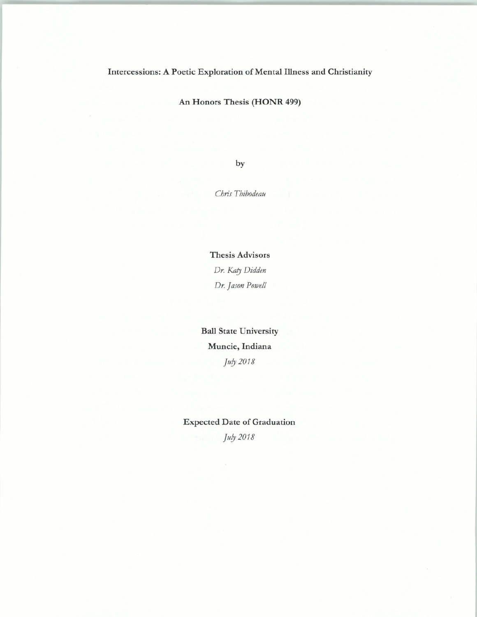## Intercessions: A Poetic Exploration of Mental Illness and Christianity

An Honors Thesis (HONR 499)

by

*Chris Thibodeau* 

Thesis Advisors *Dr. Kary Didden Dr. Jason Powell* 

Ball State University Muncie, Indiana *Ju!J 2018* 

Expected Date of Graduation *Ju!J 2018*